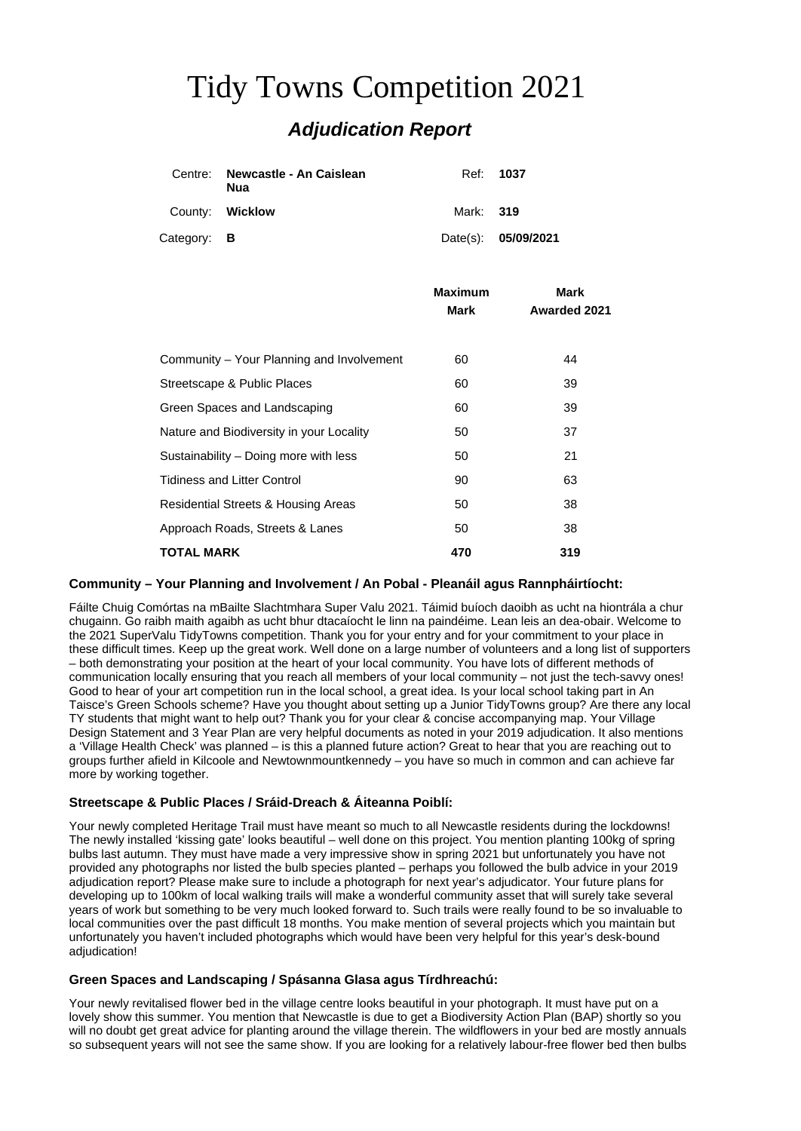# Tidy Towns Competition 2021 *Adjudication Report*

|                    | Centre: Newcastle - An Caislean<br>Nua |           | Ref: 1037           |
|--------------------|----------------------------------------|-----------|---------------------|
|                    | County: Wicklow                        | Mark: 319 |                     |
| Category: <b>B</b> |                                        |           | Date(s): 05/09/2021 |

|                                           | <b>Maximum</b><br>Mark | Mark<br><b>Awarded 2021</b> |
|-------------------------------------------|------------------------|-----------------------------|
|                                           |                        |                             |
|                                           |                        |                             |
| Community – Your Planning and Involvement | 60                     | 44                          |
| Streetscape & Public Places               | 60                     | 39                          |
| Green Spaces and Landscaping              | 60                     | 39                          |
| Nature and Biodiversity in your Locality  | 50                     | 37                          |
| Sustainability – Doing more with less     | 50                     | 21                          |
| <b>Tidiness and Litter Control</b>        | 90                     | 63                          |
| Residential Streets & Housing Areas       | 50                     | 38                          |
| Approach Roads, Streets & Lanes           | 50                     | 38                          |
| <b>TOTAL MARK</b>                         | 470                    | 319                         |

## **Community – Your Planning and Involvement / An Pobal - Pleanáil agus Rannpháirtíocht:**

Fáilte Chuig Comórtas na mBailte Slachtmhara Super Valu 2021. Táimid buíoch daoibh as ucht na hiontrála a chur chugainn. Go raibh maith agaibh as ucht bhur dtacaíocht le linn na paindéime. Lean leis an dea-obair. Welcome to the 2021 SuperValu TidyTowns competition. Thank you for your entry and for your commitment to your place in these difficult times. Keep up the great work. Well done on a large number of volunteers and a long list of supporters – both demonstrating your position at the heart of your local community. You have lots of different methods of communication locally ensuring that you reach all members of your local community – not just the tech-savvy ones! Good to hear of your art competition run in the local school, a great idea. Is your local school taking part in An Taisce's Green Schools scheme? Have you thought about setting up a Junior TidyTowns group? Are there any local TY students that might want to help out? Thank you for your clear & concise accompanying map. Your Village Design Statement and 3 Year Plan are very helpful documents as noted in your 2019 adjudication. It also mentions a 'Village Health Check' was planned – is this a planned future action? Great to hear that you are reaching out to groups further afield in Kilcoole and Newtownmountkennedy – you have so much in common and can achieve far more by working together.

#### **Streetscape & Public Places / Sráid-Dreach & Áiteanna Poiblí:**

Your newly completed Heritage Trail must have meant so much to all Newcastle residents during the lockdowns! The newly installed 'kissing gate' looks beautiful – well done on this project. You mention planting 100kg of spring bulbs last autumn. They must have made a very impressive show in spring 2021 but unfortunately you have not provided any photographs nor listed the bulb species planted – perhaps you followed the bulb advice in your 2019 adjudication report? Please make sure to include a photograph for next year's adjudicator. Your future plans for developing up to 100km of local walking trails will make a wonderful community asset that will surely take several years of work but something to be very much looked forward to. Such trails were really found to be so invaluable to local communities over the past difficult 18 months. You make mention of several projects which you maintain but unfortunately you haven't included photographs which would have been very helpful for this year's desk-bound adjudication!

#### **Green Spaces and Landscaping / Spásanna Glasa agus Tírdhreachú:**

Your newly revitalised flower bed in the village centre looks beautiful in your photograph. It must have put on a lovely show this summer. You mention that Newcastle is due to get a Biodiversity Action Plan (BAP) shortly so you will no doubt get great advice for planting around the village therein. The wildflowers in your bed are mostly annuals so subsequent years will not see the same show. If you are looking for a relatively labour-free flower bed then bulbs